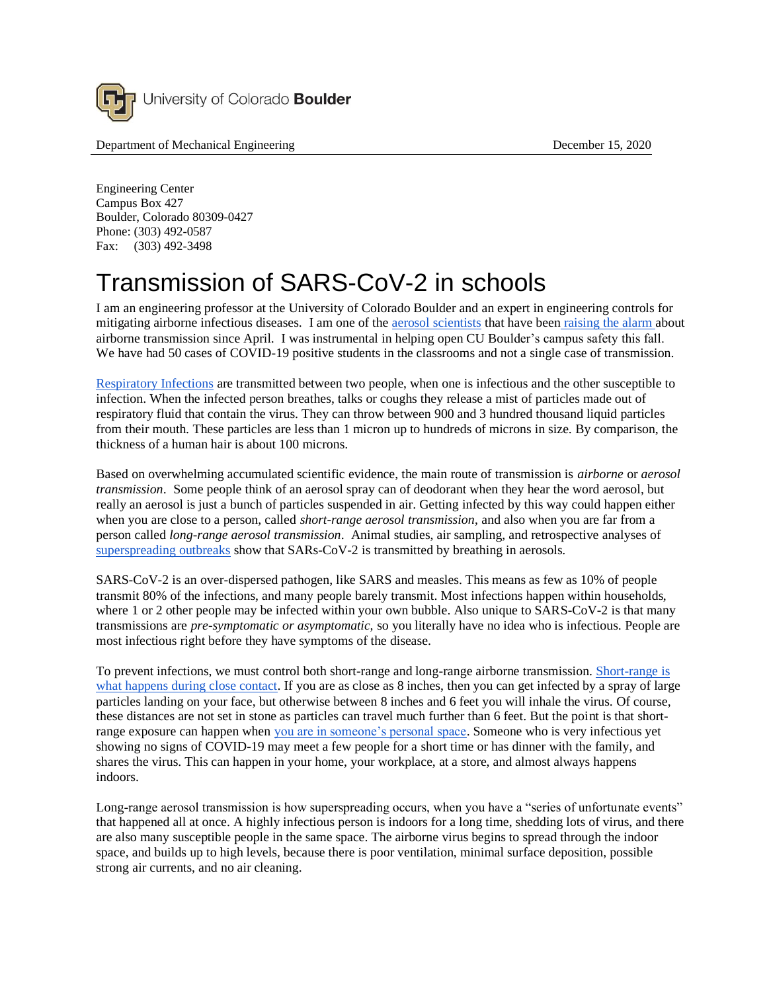

Department of Mechanical Engineering December 15, 2020

Engineering Center Campus Box 427 Boulder, Colorado 80309-0427 Phone: (303) 492-0587 Fax: (303) 492-3498

## Transmission of SARS-CoV-2 in schools

I am an engineering professor at the University of Colorado Boulder and an expert in engineering controls for mitigating airborne infectious diseases. I am one of the aerosol scientists that have been raising the alarm about airborne transmission since April. I was instrumental in helping open CU Boulder's campus safety this fall. We have had 50 cases of COVID-19 positive students in the classrooms and not a single case of transmission.

Respiratory Infections are transmitted between two people, when one is infectious and the other susceptible to infection. When the infected person breathes, talks or coughs they release a mist of particles made out of respiratory fluid that contain the virus. They can throw between 900 and 3 hundred thousand liquid particles from their mouth. These particles are less than 1 micron up to hundreds of microns in size. By comparison, the thickness of a human hair is about 100 microns.

Based on overwhelming accumulated scientific evidence, the main route of transmission is *airborne* or *aerosol transmission*. Some people think of an aerosol spray can of deodorant when they hear the word aerosol, but really an aerosol is just a bunch of particles suspended in air. Getting infected by this way could happen either when you are close to a person, called *short-range aerosol transmission*, and also when you are far from a person called *long-range aerosol transmission*. Animal studies, air sampling, and retrospective analyses of superspreading outbreaks show that SARs-CoV-2 is transmitted by breathing in aerosols.

SARS-CoV-2 is an over-dispersed pathogen, like SARS and measles. This means as few as 10% of people transmit 80% of the infections, and many people barely transmit. Most infections happen within households, where 1 or 2 other people may be infected within your own bubble. Also unique to SARS-CoV-2 is that many transmissions are *pre-symptomatic or asymptomatic,* so you literally have no idea who is infectious. People are most infectious right before they have symptoms of the disease.

To prevent infections, we must control both short-range and long-range airborne transmission. Short-range is what happens during close contact. If you are as close as 8 inches, then you can get infected by a spray of large particles landing on your face, but otherwise between 8 inches and 6 feet you will inhale the virus. Of course, these distances are not set in stone as particles can travel much further than 6 feet. But the point is that shortrange exposure can happen when you are in someone's personal space. Someone who is very infectious yet showing no signs of COVID-19 may meet a few people for a short time or has dinner with the family, and shares the virus. This can happen in your home, your workplace, at a store, and almost always happens indoors.

Long-range aerosol transmission is how superspreading occurs, when you have a "series of unfortunate events" that happened all at once. A highly infectious person is indoors for a long time, shedding lots of virus, and there are also many susceptible people in the same space. The airborne virus begins to spread through the indoor space, and builds up to high levels, because there is poor ventilation, minimal surface deposition, possible strong air currents, and no air cleaning.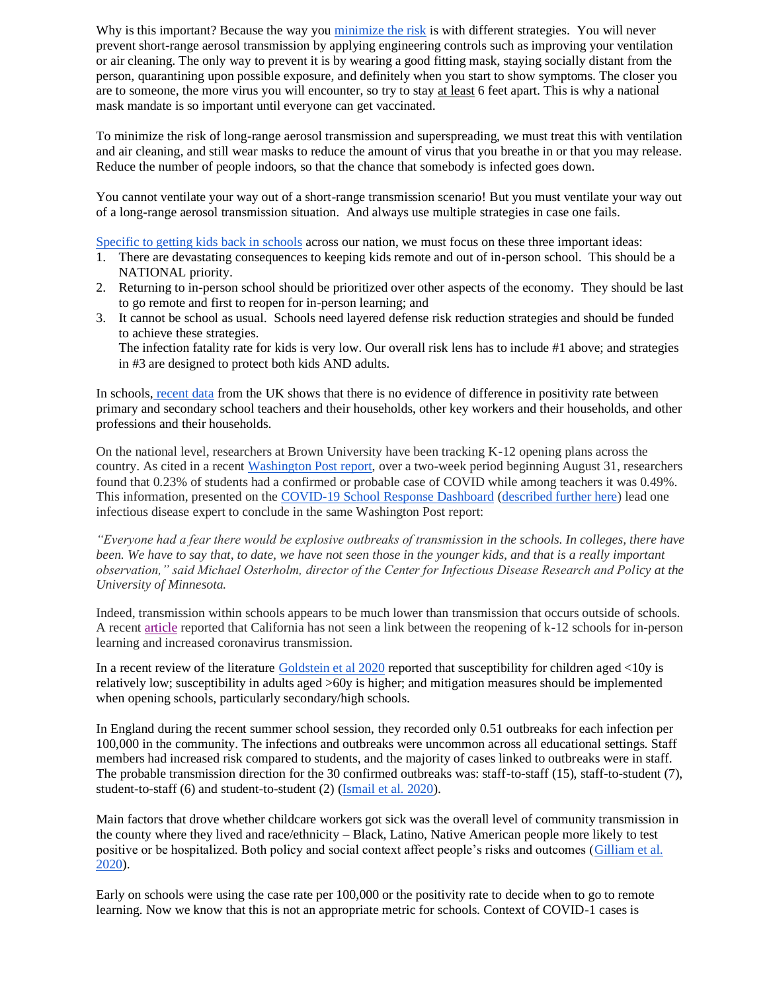Why is this important? Because the way you minimize the risk is with different strategies. You will never prevent short-range aerosol transmission by applying engineering controls such as improving your ventilation or air cleaning. The only way to prevent it is by wearing a good fitting mask, staying socially distant from the person, quarantining upon possible exposure, and definitely when you start to show symptoms. The closer you are to someone, the more virus you will encounter, so try to stay at least 6 feet apart. This is why a national mask mandate is so important until everyone can get vaccinated.

To minimize the risk of long-range aerosol transmission and superspreading, we must treat this with ventilation and air cleaning, and still wear masks to reduce the amount of virus that you breathe in or that you may release. Reduce the number of people indoors, so that the chance that somebody is infected goes down.

You cannot ventilate your way out of a short-range transmission scenario! But you must ventilate your way out of a long-range aerosol transmission situation. And always use multiple strategies in case one fails.

Specific to getting kids back in schools across our nation, we must focus on these three important ideas:

- 1. There are devastating consequences to keeping kids remote and out of in-person school. This should be a NATIONAL priority.
- 2. Returning to in-person school should be prioritized over other aspects of the economy. They should be last to go remote and first to reopen for in-person learning; and
- 3. It cannot be school as usual. Schools need layered defense risk reduction strategies and should be funded to achieve these strategies.

The infection fatality rate for kids is very low. Our overall risk lens has to include #1 above; and strategies in #3 are designed to protect both kids AND adults.

In schools, recent data from the UK shows that there is no evidence of difference in positivity rate between primary and secondary school teachers and their households, other key workers and their households, and other professions and their households.

On the national level, researchers at Brown University have been tracking K-12 opening plans across the country. As cited in a recent Washington Post report, over a two-week period beginning August 31, researchers found that 0.23% of students had a confirmed or probable case of COVID while among teachers it was 0.49%. This information, presented on the COVID-19 School Response Dashboard (described further here) lead one infectious disease expert to conclude in the same Washington Post report:

*"Everyone had a fear there would be explosive outbreaks of transmission in the schools. In colleges, there have been. We have to say that, to date, we have not seen those in the younger kids, and that is a really important observation," said Michael Osterholm, director of the Center for Infectious Disease Research and Policy at the University of Minnesota.*

Indeed, transmission within schools appears to be much lower than transmission that occurs outside of schools. A recent article reported that California has not seen a link between the reopening of k-12 schools for in-person learning and increased coronavirus transmission.

In a recent review of the literature Goldstein et al 2020 reported that susceptibility for children aged <10y is relatively low; susceptibility in adults aged >60y is higher; and mitigation measures should be implemented when opening schools, particularly secondary/high schools.

In England during the recent summer school session, they recorded only 0.51 outbreaks for each infection per 100,000 in the community. The infections and outbreaks were uncommon across all educational settings. Staff members had increased risk compared to students, and the majority of cases linked to outbreaks were in staff. The probable transmission direction for the 30 confirmed outbreaks was: staff-to-staff (15), staff-to-student (7), student-to-staff (6) and student-to-student (2) (Ismail et al. 2020).

Main factors that drove whether childcare workers got sick was the overall level of community transmission in the county where they lived and race/ethnicity – Black, Latino, Native American people more likely to test positive or be hospitalized. Both policy and social context affect people's risks and outcomes (Gilliam et al. 2020).

Early on schools were using the case rate per 100,000 or the positivity rate to decide when to go to remote learning. Now we know that this is not an appropriate metric for schools. Context of COVID-1 cases is